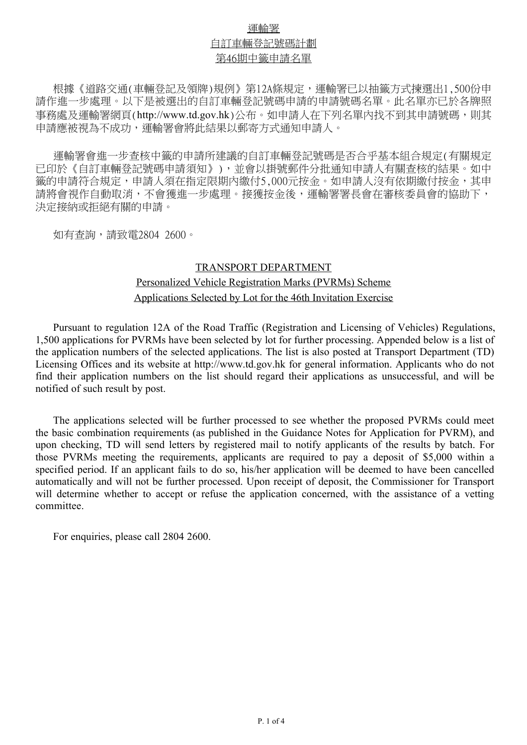## 運輸署 自訂車輛登記號碼計劃 第46期中籤申請名單

根據《道路交通(車輛登記及領牌)規例》第12A條規定,運輸署已以抽籤方式揀選出1,500份申 請作進一步處理。以下是被選出的自訂車輛登記號碼申請的申請號碼名單。此名單亦已於各牌照 事務處及運輸署網頁(http://www.td.gov.hk)公布。如申請人在下列名單內找不到其申請號碼,則其 申請應被視為不成功,運輸署會將此結果以郵寄方式通知申請人。

運輸署會進一步查核中籤的申請所建議的自訂車輛登記號碼是否合乎基本組合規定(有關規定 已印於《自訂車輛登記號碼申請須知》),並會以掛號郵件分批通知申請人有關查核的結果。如中 籤的申請符合規定,申請人須在指定限期內繳付5,000元按金。如申請人沒有依期繳付按金,其申 請將會視作自動取消,不會獲進一步處理。接獲按金後,運輸署署長會在審核委員會的協助下, 決定接納或拒絕有關的申請。

如有杳詢,請致電2804 2600。

#### TRANSPORT DEPARTMENT

# Applications Selected by Lot for the 46th Invitation Exercise Personalized Vehicle Registration Marks (PVRMs) Scheme

Pursuant to regulation 12A of the Road Traffic (Registration and Licensing of Vehicles) Regulations, 1,500 applications for PVRMs have been selected by lot for further processing. Appended below is a list of the application numbers of the selected applications. The list is also posted at Transport Department (TD) Licensing Offices and its website at http://www.td.gov.hk for general information. Applicants who do not find their application numbers on the list should regard their applications as unsuccessful, and will be notified of such result by post.

The applications selected will be further processed to see whether the proposed PVRMs could meet the basic combination requirements (as published in the Guidance Notes for Application for PVRM), and upon checking, TD will send letters by registered mail to notify applicants of the results by batch. For those PVRMs meeting the requirements, applicants are required to pay a deposit of \$5,000 within a specified period. If an applicant fails to do so, his/her application will be deemed to have been cancelled automatically and will not be further processed. Upon receipt of deposit, the Commissioner for Transport will determine whether to accept or refuse the application concerned, with the assistance of a vetting committee.

For enquiries, please call 2804 2600.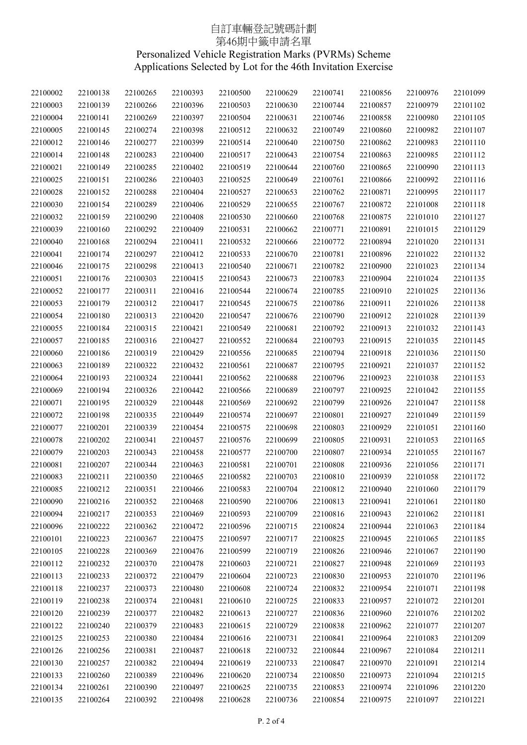### 自訂車輛登記號碼計劃 第46期中籤申請名單 Personalized Vehicle Registration Marks (PVRMs) Scheme Applications Selected by Lot for the 46th Invitation Exercise

| 22100002 | 22100138 | 22100265 | 22100393 | 22100500 | 22100629 | 22100741 | 22100856 | 22100976 | 22101099 |
|----------|----------|----------|----------|----------|----------|----------|----------|----------|----------|
| 22100003 | 22100139 | 22100266 | 22100396 | 22100503 | 22100630 | 22100744 | 22100857 | 22100979 | 22101102 |
| 22100004 | 22100141 | 22100269 | 22100397 | 22100504 | 22100631 | 22100746 | 22100858 | 22100980 | 22101105 |
| 22100005 | 22100145 | 22100274 | 22100398 | 22100512 | 22100632 | 22100749 | 22100860 | 22100982 | 22101107 |
| 22100012 | 22100146 | 22100277 | 22100399 | 22100514 | 22100640 | 22100750 | 22100862 | 22100983 | 22101110 |
| 22100014 | 22100148 | 22100283 | 22100400 | 22100517 | 22100643 | 22100754 | 22100863 | 22100985 | 22101112 |
| 22100021 | 22100149 | 22100285 | 22100402 | 22100519 | 22100644 | 22100760 | 22100865 | 22100990 | 22101113 |
| 22100025 | 22100151 | 22100286 | 22100403 | 22100525 | 22100649 | 22100761 | 22100866 | 22100992 | 22101116 |
| 22100028 | 22100152 | 22100288 | 22100404 | 22100527 | 22100653 | 22100762 | 22100871 | 22100995 | 22101117 |
| 22100030 | 22100154 | 22100289 | 22100406 | 22100529 | 22100655 | 22100767 | 22100872 | 22101008 | 22101118 |
| 22100032 | 22100159 | 22100290 | 22100408 | 22100530 | 22100660 | 22100768 | 22100875 | 22101010 | 22101127 |
| 22100039 | 22100160 | 22100292 | 22100409 | 22100531 | 22100662 | 22100771 | 22100891 | 22101015 | 22101129 |
| 22100040 | 22100168 | 22100294 | 22100411 | 22100532 | 22100666 | 22100772 | 22100894 | 22101020 | 22101131 |
| 22100041 | 22100174 | 22100297 | 22100412 | 22100533 | 22100670 | 22100781 | 22100896 | 22101022 | 22101132 |
| 22100046 | 22100175 | 22100298 | 22100413 | 22100540 | 22100671 | 22100782 | 22100900 | 22101023 | 22101134 |
| 22100051 | 22100176 | 22100303 | 22100415 | 22100543 | 22100673 | 22100783 | 22100904 | 22101024 | 22101135 |
| 22100052 | 22100177 | 22100311 | 22100416 | 22100544 | 22100674 | 22100785 | 22100910 | 22101025 | 22101136 |
| 22100053 | 22100179 | 22100312 | 22100417 | 22100545 | 22100675 | 22100786 | 22100911 | 22101026 | 22101138 |
| 22100054 | 22100180 | 22100313 | 22100420 | 22100547 | 22100676 | 22100790 | 22100912 | 22101028 | 22101139 |
| 22100055 | 22100184 | 22100315 | 22100421 | 22100549 | 22100681 | 22100792 | 22100913 | 22101032 | 22101143 |
| 22100057 | 22100185 | 22100316 | 22100427 | 22100552 | 22100684 | 22100793 | 22100915 | 22101035 | 22101145 |
| 22100060 | 22100186 | 22100319 | 22100429 | 22100556 | 22100685 | 22100794 | 22100918 | 22101036 | 22101150 |
| 22100063 | 22100189 | 22100322 | 22100432 | 22100561 | 22100687 | 22100795 | 22100921 | 22101037 | 22101152 |
| 22100064 | 22100193 | 22100324 | 22100441 | 22100562 | 22100688 | 22100796 | 22100923 | 22101038 | 22101153 |
| 22100069 | 22100194 | 22100326 | 22100442 | 22100566 | 22100689 | 22100797 | 22100925 | 22101042 | 22101155 |
| 22100071 | 22100195 | 22100329 | 22100448 | 22100569 | 22100692 | 22100799 | 22100926 | 22101047 | 22101158 |
| 22100072 | 22100198 | 22100335 | 22100449 | 22100574 | 22100697 | 22100801 | 22100927 | 22101049 | 22101159 |
| 22100077 | 22100201 | 22100339 | 22100454 | 22100575 | 22100698 | 22100803 | 22100929 | 22101051 | 22101160 |
| 22100078 | 22100202 | 22100341 | 22100457 | 22100576 | 22100699 | 22100805 | 22100931 | 22101053 | 22101165 |
| 22100079 | 22100203 | 22100343 | 22100458 | 22100577 | 22100700 | 22100807 | 22100934 | 22101055 | 22101167 |
| 22100081 | 22100207 | 22100344 | 22100463 | 22100581 | 22100701 | 22100808 | 22100936 | 22101056 | 22101171 |
| 22100083 | 22100211 | 22100350 | 22100465 | 22100582 | 22100703 | 22100810 | 22100939 | 22101058 | 22101172 |
| 22100085 | 22100212 | 22100351 | 22100466 | 22100583 | 22100704 | 22100812 | 22100940 | 22101060 | 22101179 |
| 22100090 | 22100216 | 22100352 | 22100468 | 22100590 | 22100706 | 22100813 | 22100941 | 22101061 | 22101180 |
| 22100094 | 22100217 | 22100353 | 22100469 | 22100593 | 22100709 | 22100816 | 22100943 | 22101062 | 22101181 |
| 22100096 | 22100222 | 22100362 | 22100472 | 22100596 | 22100715 | 22100824 | 22100944 | 22101063 | 22101184 |
| 22100101 | 22100223 | 22100367 | 22100475 | 22100597 | 22100717 | 22100825 | 22100945 | 22101065 | 22101185 |
| 22100105 | 22100228 | 22100369 | 22100476 | 22100599 | 22100719 | 22100826 | 22100946 | 22101067 | 22101190 |
| 22100112 | 22100232 | 22100370 | 22100478 | 22100603 | 22100721 | 22100827 | 22100948 | 22101069 | 22101193 |
| 22100113 | 22100233 | 22100372 | 22100479 | 22100604 | 22100723 | 22100830 | 22100953 | 22101070 | 22101196 |
| 22100118 | 22100237 | 22100373 | 22100480 | 22100608 | 22100724 | 22100832 | 22100954 | 22101071 | 22101198 |
| 22100119 | 22100238 | 22100374 | 22100481 | 22100610 | 22100725 | 22100833 | 22100957 | 22101072 | 22101201 |
| 22100120 | 22100239 | 22100377 | 22100482 | 22100613 | 22100727 | 22100836 | 22100960 | 22101076 | 22101202 |
| 22100122 | 22100240 | 22100379 | 22100483 | 22100615 | 22100729 | 22100838 | 22100962 | 22101077 | 22101207 |
| 22100125 | 22100253 | 22100380 | 22100484 | 22100616 | 22100731 | 22100841 | 22100964 | 22101083 | 22101209 |
| 22100126 | 22100256 | 22100381 | 22100487 | 22100618 | 22100732 | 22100844 | 22100967 | 22101084 | 22101211 |
| 22100130 | 22100257 | 22100382 | 22100494 | 22100619 | 22100733 | 22100847 | 22100970 | 22101091 | 22101214 |
| 22100133 | 22100260 | 22100389 | 22100496 | 22100620 | 22100734 | 22100850 | 22100973 | 22101094 | 22101215 |
| 22100134 | 22100261 | 22100390 | 22100497 | 22100625 | 22100735 | 22100853 | 22100974 | 22101096 | 22101220 |
| 22100135 | 22100264 | 22100392 | 22100498 | 22100628 | 22100736 | 22100854 | 22100975 | 22101097 | 22101221 |
|          |          |          |          |          |          |          |          |          |          |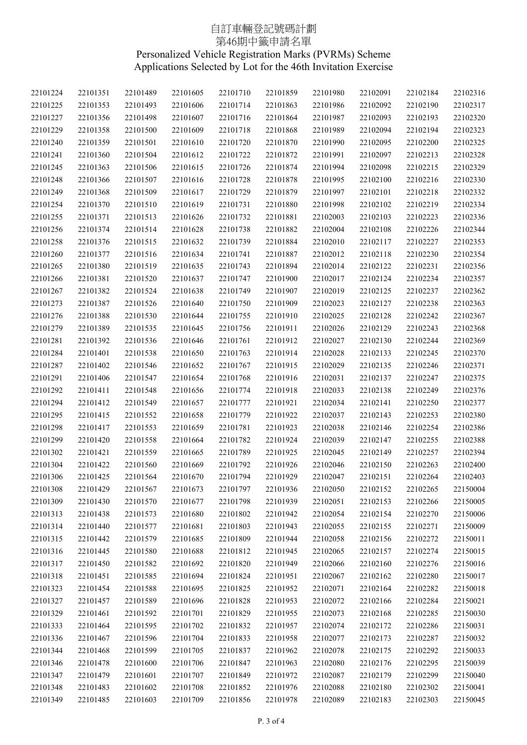### 自訂車輛登記號碼計劃 第46期中籤申請名單 Personalized Vehicle Registration Marks (PVRMs) Scheme Applications Selected by Lot for the 46th Invitation Exercise

| 22101224 | 22101351 | 22101489 | 22101605 | 22101710 | 22101859 | 22101980 | 22102091 | 22102184 | 22102316 |
|----------|----------|----------|----------|----------|----------|----------|----------|----------|----------|
| 22101225 | 22101353 | 22101493 | 22101606 | 22101714 | 22101863 | 22101986 | 22102092 | 22102190 | 22102317 |
| 22101227 | 22101356 | 22101498 | 22101607 | 22101716 | 22101864 | 22101987 | 22102093 | 22102193 | 22102320 |
| 22101229 | 22101358 | 22101500 | 22101609 | 22101718 | 22101868 | 22101989 | 22102094 | 22102194 | 22102323 |
| 22101240 | 22101359 | 22101501 | 22101610 | 22101720 | 22101870 | 22101990 | 22102095 | 22102200 | 22102325 |
| 22101241 | 22101360 | 22101504 | 22101612 | 22101722 | 22101872 | 22101991 | 22102097 | 22102213 | 22102328 |
| 22101245 | 22101363 | 22101506 | 22101615 | 22101726 | 22101874 | 22101994 | 22102098 | 22102215 | 22102329 |
| 22101248 | 22101366 | 22101507 | 22101616 | 22101728 | 22101878 | 22101995 | 22102100 | 22102216 | 22102330 |
| 22101249 | 22101368 | 22101509 | 22101617 | 22101729 | 22101879 | 22101997 | 22102101 | 22102218 | 22102332 |
| 22101254 | 22101370 | 22101510 | 22101619 | 22101731 | 22101880 | 22101998 | 22102102 | 22102219 | 22102334 |
| 22101255 | 22101371 | 22101513 | 22101626 | 22101732 | 22101881 | 22102003 | 22102103 | 22102223 | 22102336 |
| 22101256 | 22101374 | 22101514 | 22101628 | 22101738 | 22101882 | 22102004 | 22102108 | 22102226 | 22102344 |
| 22101258 | 22101376 | 22101515 | 22101632 | 22101739 | 22101884 | 22102010 | 22102117 | 22102227 | 22102353 |
| 22101260 | 22101377 | 22101516 | 22101634 | 22101741 | 22101887 | 22102012 | 22102118 | 22102230 | 22102354 |
|          |          |          |          |          |          |          |          |          |          |
| 22101265 | 22101380 | 22101519 | 22101635 | 22101743 | 22101894 | 22102014 | 22102122 | 22102231 | 22102356 |
| 22101266 | 22101381 | 22101520 | 22101637 | 22101747 | 22101900 | 22102017 | 22102124 | 22102234 | 22102357 |
| 22101267 | 22101382 | 22101524 | 22101638 | 22101749 | 22101907 | 22102019 | 22102125 | 22102237 | 22102362 |
| 22101273 | 22101387 | 22101526 | 22101640 | 22101750 | 22101909 | 22102023 | 22102127 | 22102238 | 22102363 |
| 22101276 | 22101388 | 22101530 | 22101644 | 22101755 | 22101910 | 22102025 | 22102128 | 22102242 | 22102367 |
| 22101279 | 22101389 | 22101535 | 22101645 | 22101756 | 22101911 | 22102026 | 22102129 | 22102243 | 22102368 |
| 22101281 | 22101392 | 22101536 | 22101646 | 22101761 | 22101912 | 22102027 | 22102130 | 22102244 | 22102369 |
| 22101284 | 22101401 | 22101538 | 22101650 | 22101763 | 22101914 | 22102028 | 22102133 | 22102245 | 22102370 |
| 22101287 | 22101402 | 22101546 | 22101652 | 22101767 | 22101915 | 22102029 | 22102135 | 22102246 | 22102371 |
| 22101291 | 22101406 | 22101547 | 22101654 | 22101768 | 22101916 | 22102031 | 22102137 | 22102247 | 22102375 |
| 22101292 | 22101411 | 22101548 | 22101656 | 22101774 | 22101918 | 22102033 | 22102138 | 22102249 | 22102376 |
| 22101294 | 22101412 | 22101549 | 22101657 | 22101777 | 22101921 | 22102034 | 22102141 | 22102250 | 22102377 |
| 22101295 | 22101415 | 22101552 | 22101658 | 22101779 | 22101922 | 22102037 | 22102143 | 22102253 | 22102380 |
| 22101298 | 22101417 | 22101553 | 22101659 | 22101781 | 22101923 | 22102038 | 22102146 | 22102254 | 22102386 |
| 22101299 | 22101420 | 22101558 | 22101664 | 22101782 | 22101924 | 22102039 | 22102147 | 22102255 | 22102388 |
| 22101302 | 22101421 | 22101559 | 22101665 | 22101789 | 22101925 | 22102045 | 22102149 | 22102257 | 22102394 |
| 22101304 | 22101422 | 22101560 | 22101669 | 22101792 | 22101926 | 22102046 | 22102150 | 22102263 | 22102400 |
| 22101306 | 22101425 | 22101564 | 22101670 | 22101794 | 22101929 | 22102047 | 22102151 | 22102264 | 22102403 |
| 22101308 | 22101429 | 22101567 | 22101673 | 22101797 | 22101936 | 22102050 | 22102152 | 22102265 | 22150004 |
| 22101309 | 22101430 | 22101570 | 22101677 | 22101798 | 22101939 | 22102051 | 22102153 | 22102266 | 22150005 |
| 22101313 | 22101438 | 22101573 | 22101680 | 22101802 | 22101942 | 22102054 | 22102154 | 22102270 | 22150006 |
| 22101314 | 22101440 | 22101577 | 22101681 | 22101803 | 22101943 | 22102055 | 22102155 | 22102271 | 22150009 |
| 22101315 | 22101442 | 22101579 | 22101685 | 22101809 | 22101944 | 22102058 | 22102156 | 22102272 | 22150011 |
| 22101316 | 22101445 | 22101580 | 22101688 | 22101812 | 22101945 | 22102065 | 22102157 | 22102274 | 22150015 |
| 22101317 | 22101450 | 22101582 | 22101692 | 22101820 | 22101949 | 22102066 | 22102160 | 22102276 | 22150016 |
| 22101318 | 22101451 | 22101585 | 22101694 | 22101824 | 22101951 | 22102067 | 22102162 | 22102280 | 22150017 |
| 22101323 | 22101454 | 22101588 | 22101695 | 22101825 | 22101952 | 22102071 | 22102164 | 22102282 | 22150018 |
| 22101327 | 22101457 | 22101589 | 22101696 | 22101828 | 22101953 | 22102072 | 22102166 | 22102284 | 22150021 |
| 22101329 | 22101461 | 22101592 | 22101701 | 22101829 | 22101955 | 22102073 | 22102168 | 22102285 | 22150030 |
| 22101333 | 22101464 | 22101595 | 22101702 | 22101832 | 22101957 | 22102074 | 22102172 | 22102286 | 22150031 |
| 22101336 | 22101467 | 22101596 | 22101704 | 22101833 | 22101958 | 22102077 | 22102173 | 22102287 | 22150032 |
| 22101344 | 22101468 | 22101599 | 22101705 | 22101837 | 22101962 | 22102078 | 22102175 | 22102292 | 22150033 |
| 22101346 | 22101478 | 22101600 | 22101706 | 22101847 | 22101963 | 22102080 | 22102176 | 22102295 | 22150039 |
| 22101347 | 22101479 | 22101601 | 22101707 | 22101849 | 22101972 | 22102087 | 22102179 | 22102299 | 22150040 |
| 22101348 | 22101483 | 22101602 | 22101708 | 22101852 | 22101976 | 22102088 | 22102180 | 22102302 | 22150041 |
| 22101349 | 22101485 | 22101603 | 22101709 | 22101856 | 22101978 | 22102089 | 22102183 | 22102303 | 22150045 |
|          |          |          |          |          |          |          |          |          |          |